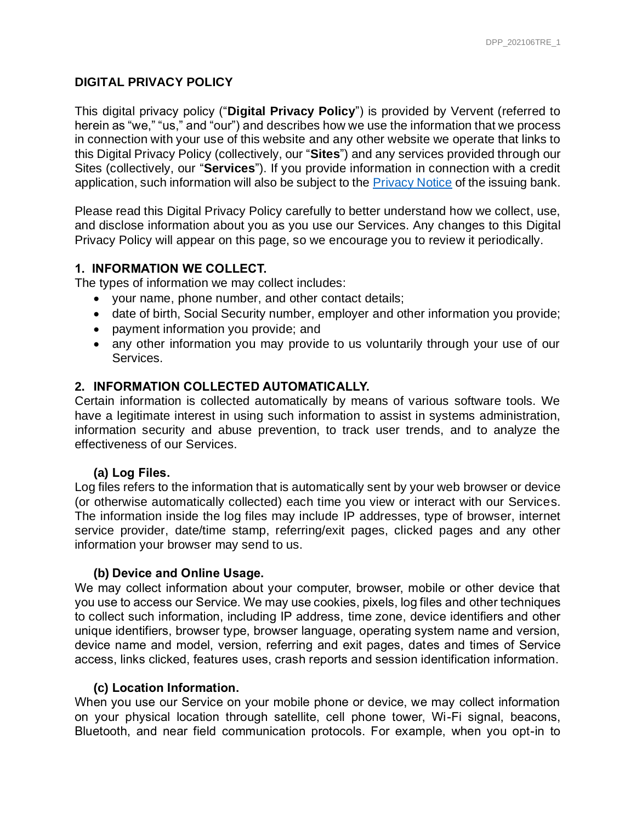#### **DIGITAL PRIVACY POLICY**

This digital privacy policy ("**Digital Privacy Policy**") is provided by Vervent (referred to herein as "we," "us," and "our") and describes how we use the information that we process in connection with your use of this website and any other website we operate that links to this Digital Privacy Policy (collectively, our "**Sites**") and any services provided through our Sites (collectively, our "**Services**"). If you provide information in connection with a credit application, such information will also be subject to the [Privacy Notice](https://revvi.com/pdf/PrivacyNotice_MRV.pdf) of the issuing bank.

Please read this Digital Privacy Policy carefully to better understand how we collect, use, and disclose information about you as you use our Services. Any changes to this Digital Privacy Policy will appear on this page, so we encourage you to review it periodically.

#### **1. INFORMATION WE COLLECT.**

The types of information we may collect includes:

- your name, phone number, and other contact details;
- date of birth, Social Security number, employer and other information you provide;
- payment information you provide; and
- any other information you may provide to us voluntarily through your use of our Services.

#### **2. INFORMATION COLLECTED AUTOMATICALLY.**

Certain information is collected automatically by means of various software tools. We have a legitimate interest in using such information to assist in systems administration, information security and abuse prevention, to track user trends, and to analyze the effectiveness of our Services.

#### **(a) Log Files.**

Log files refers to the information that is automatically sent by your web browser or device (or otherwise automatically collected) each time you view or interact with our Services. The information inside the log files may include IP addresses, type of browser, internet service provider, date/time stamp, referring/exit pages, clicked pages and any other information your browser may send to us.

#### **(b) Device and Online Usage.**

We may collect information about your computer, browser, mobile or other device that you use to access our Service. We may use cookies, pixels, log files and other techniques to collect such information, including IP address, time zone, device identifiers and other unique identifiers, browser type, browser language, operating system name and version, device name and model, version, referring and exit pages, dates and times of Service access, links clicked, features uses, crash reports and session identification information.

#### **(c) Location Information.**

When you use our Service on your mobile phone or device, we may collect information on your physical location through satellite, cell phone tower, Wi-Fi signal, beacons, Bluetooth, and near field communication protocols. For example, when you opt-in to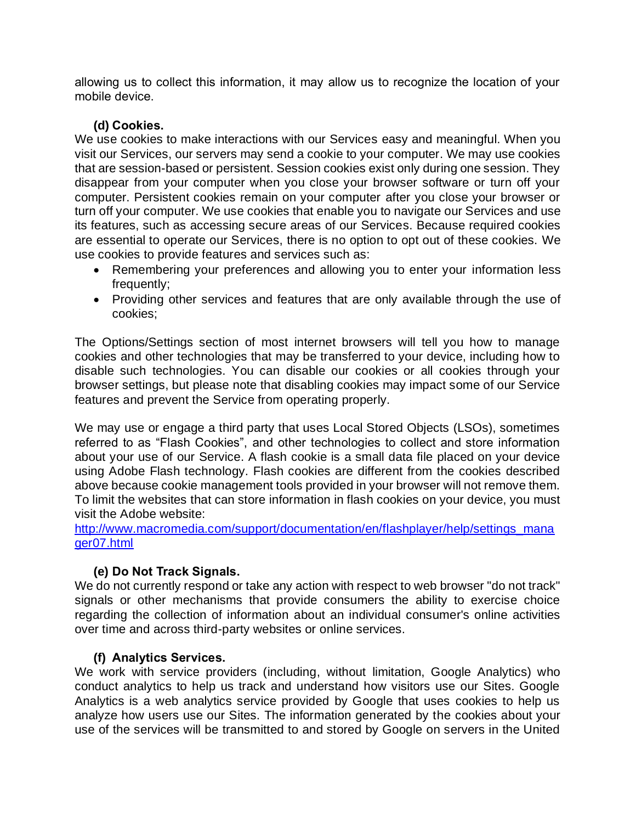allowing us to collect this information, it may allow us to recognize the location of your mobile device.

### **(d) Cookies.**

We use cookies to make interactions with our Services easy and meaningful. When you visit our Services, our servers may send a cookie to your computer. We may use cookies that are session-based or persistent. Session cookies exist only during one session. They disappear from your computer when you close your browser software or turn off your computer. Persistent cookies remain on your computer after you close your browser or turn off your computer. We use cookies that enable you to navigate our Services and use its features, such as accessing secure areas of our Services. Because required cookies are essential to operate our Services, there is no option to opt out of these cookies. We use cookies to provide features and services such as:

- Remembering your preferences and allowing you to enter your information less frequently;
- Providing other services and features that are only available through the use of cookies;

The Options/Settings section of most internet browsers will tell you how to manage cookies and other technologies that may be transferred to your device, including how to disable such technologies. You can disable our cookies or all cookies through your browser settings, but please note that disabling cookies may impact some of our Service features and prevent the Service from operating properly.

We may use or engage a third party that uses Local Stored Objects (LSOs), sometimes referred to as "Flash Cookies", and other technologies to collect and store information about your use of our Service. A flash cookie is a small data file placed on your device using Adobe Flash technology. Flash cookies are different from the cookies described above because cookie management tools provided in your browser will not remove them. To limit the websites that can store information in flash cookies on your device, you must visit the Adobe website:

[http://www.macromedia.com/support/documentation/en/flashplayer/help/settings\\_mana](http://www.macromedia.com/support/documentation/en/flashplayer/help/settings_manager07.html) [ger07.html](http://www.macromedia.com/support/documentation/en/flashplayer/help/settings_manager07.html)

# **(e) Do Not Track Signals.**

We do not currently respond or take any action with respect to web browser "do not track" signals or other mechanisms that provide consumers the ability to exercise choice regarding the collection of information about an individual consumer's online activities over time and across third-party websites or online services.

# **(f) Analytics Services.**

We work with service providers (including, without limitation, Google Analytics) who conduct analytics to help us track and understand how visitors use our Sites. Google Analytics is a web analytics service provided by Google that uses cookies to help us analyze how users use our Sites. The information generated by the cookies about your use of the services will be transmitted to and stored by Google on servers in the United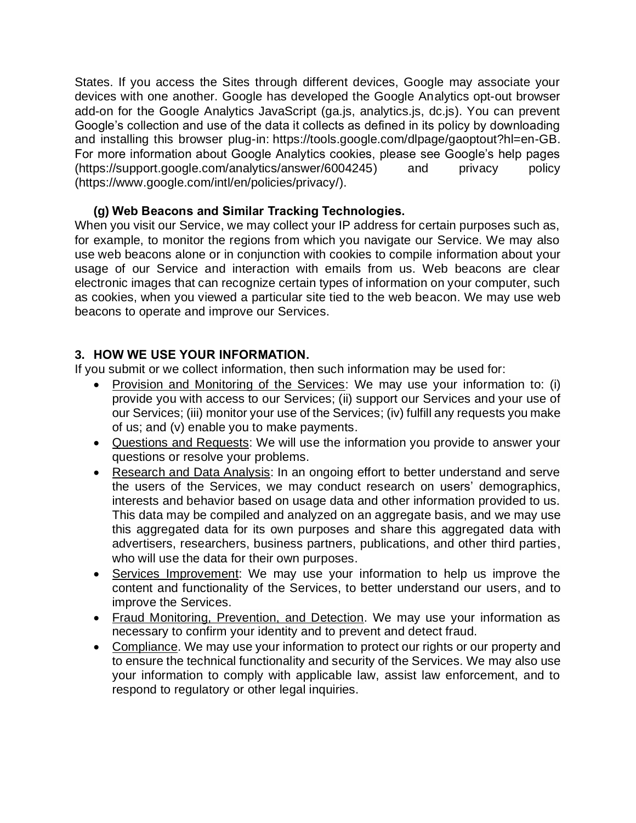States. If you access the Sites through different devices, Google may associate your devices with one another. Google has developed the Google Analytics opt-out browser add-on for the Google Analytics JavaScript (ga.js, analytics.js, dc.js). You can prevent Google's collection and use of the data it collects as defined in its policy by downloading and installing this browser plug-in: [https://tools.google.com/dlpage/gaoptout?hl=en-GB.](https://tools.google.com/dlpage/gaoptout?hl=en-GB) For more information about Google Analytics cookies, please see Google's help pages [\(https://support.google.com/analytics/answer/6004245\)](https://support.google.com/analytics/answer/6004245) and privacy policy [\(https://www.google.com/intl/en/policies/privacy/\)](https://www.google.com/intl/en/policies/privacy/).

# **(g) Web Beacons and Similar Tracking Technologies.**

When you visit our Service, we may collect your IP address for certain purposes such as, for example, to monitor the regions from which you navigate our Service. We may also use web beacons alone or in conjunction with cookies to compile information about your usage of our Service and interaction with emails from us. Web beacons are clear electronic images that can recognize certain types of information on your computer, such as cookies, when you viewed a particular site tied to the web beacon. We may use web beacons to operate and improve our Services.

# **3. HOW WE USE YOUR INFORMATION.**

If you submit or we collect information, then such information may be used for:

- Provision and Monitoring of the Services: We may use your information to: (i) provide you with access to our Services; (ii) support our Services and your use of our Services; (iii) monitor your use of the Services; (iv) fulfill any requests you make of us; and (v) enable you to make payments.
- Questions and Requests: We will use the information you provide to answer your questions or resolve your problems.
- Research and Data Analysis: In an ongoing effort to better understand and serve the users of the Services, we may conduct research on users' demographics, interests and behavior based on usage data and other information provided to us. This data may be compiled and analyzed on an aggregate basis, and we may use this aggregated data for its own purposes and share this aggregated data with advertisers, researchers, business partners, publications, and other third parties, who will use the data for their own purposes.
- Services Improvement: We may use your information to help us improve the content and functionality of the Services, to better understand our users, and to improve the Services.
- Fraud Monitoring, Prevention, and Detection. We may use your information as necessary to confirm your identity and to prevent and detect fraud.
- Compliance. We may use your information to protect our rights or our property and to ensure the technical functionality and security of the Services. We may also use your information to comply with applicable law, assist law enforcement, and to respond to regulatory or other legal inquiries.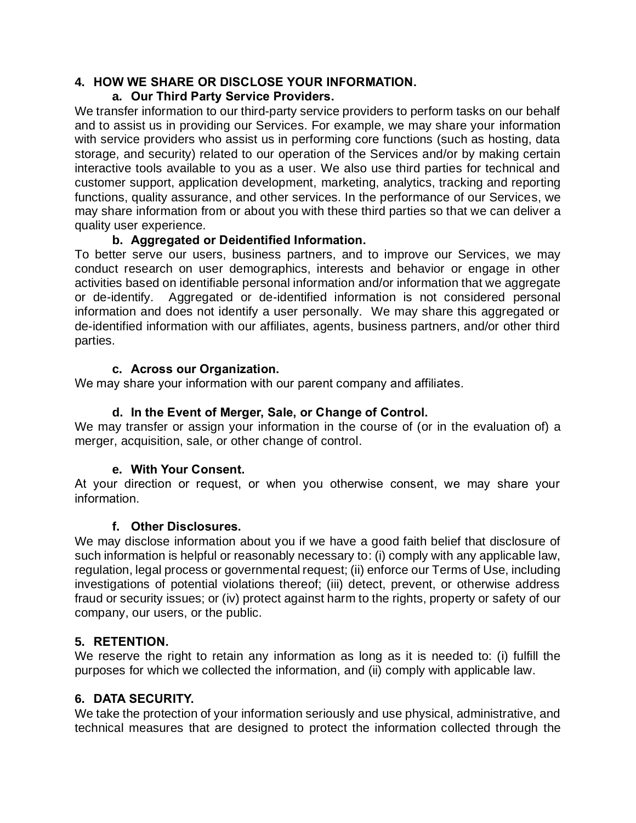## **4. HOW WE SHARE OR DISCLOSE YOUR INFORMATION.**

## **a. Our Third Party Service Providers.**

We transfer information to our third-party service providers to perform tasks on our behalf and to assist us in providing our Services. For example, we may share your information with service providers who assist us in performing core functions (such as hosting, data storage, and security) related to our operation of the Services and/or by making certain interactive tools available to you as a user. We also use third parties for technical and customer support, application development, marketing, analytics, tracking and reporting functions, quality assurance, and other services. In the performance of our Services, we may share information from or about you with these third parties so that we can deliver a quality user experience.

### **b. Aggregated or Deidentified Information.**

To better serve our users, business partners, and to improve our Services, we may conduct research on user demographics, interests and behavior or engage in other activities based on identifiable personal information and/or information that we aggregate or de-identify. Aggregated or de-identified information is not considered personal information and does not identify a user personally. We may share this aggregated or de-identified information with our affiliates, agents, business partners, and/or other third parties.

### **c. Across our Organization.**

We may share your information with our parent company and affiliates.

## **d. In the Event of Merger, Sale, or Change of Control.**

We may transfer or assign your information in the course of (or in the evaluation of) a merger, acquisition, sale, or other change of control.

#### **e. With Your Consent.**

At your direction or request, or when you otherwise consent, we may share your information.

#### **f. Other Disclosures.**

We may disclose information about you if we have a good faith belief that disclosure of such information is helpful or reasonably necessary to: (i) comply with any applicable law, regulation, legal process or governmental request; (ii) enforce our Terms of Use, including investigations of potential violations thereof; (iii) detect, prevent, or otherwise address fraud or security issues; or (iv) protect against harm to the rights, property or safety of our company, our users, or the public.

# **5. RETENTION.**

We reserve the right to retain any information as long as it is needed to: (i) fulfill the purposes for which we collected the information, and (ii) comply with applicable law.

# **6. DATA SECURITY.**

We take the protection of your information seriously and use physical, administrative, and technical measures that are designed to protect the information collected through the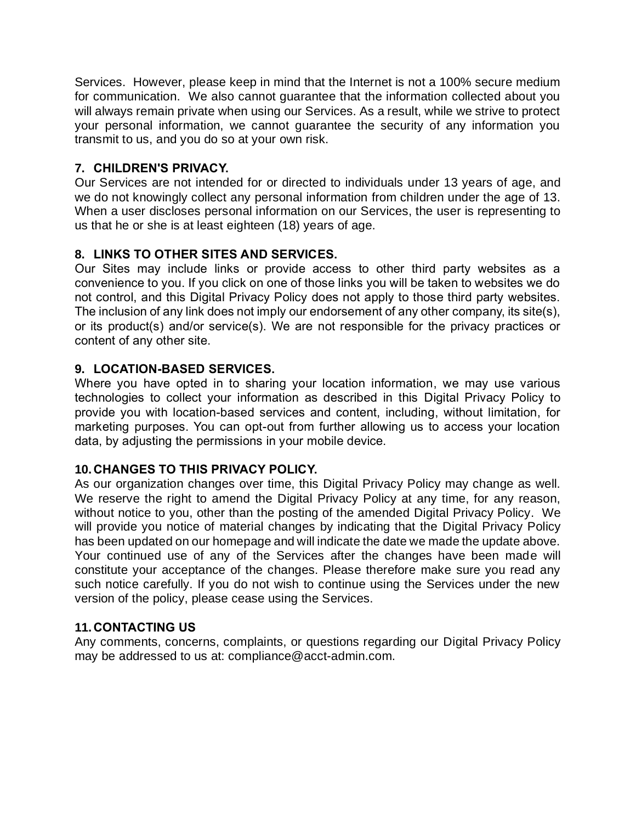Services. However, please keep in mind that the Internet is not a 100% secure medium for communication. We also cannot guarantee that the information collected about you will always remain private when using our Services. As a result, while we strive to protect your personal information, we cannot guarantee the security of any information you transmit to us, and you do so at your own risk.

# **7. CHILDREN'S PRIVACY.**

Our Services are not intended for or directed to individuals under 13 years of age, and we do not knowingly collect any personal information from children under the age of 13. When a user discloses personal information on our Services, the user is representing to us that he or she is at least eighteen (18) years of age.

# **8. LINKS TO OTHER SITES AND SERVICES.**

Our Sites may include links or provide access to other third party websites as a convenience to you. If you click on one of those links you will be taken to websites we do not control, and this Digital Privacy Policy does not apply to those third party websites. The inclusion of any link does not imply our endorsement of any other company, its site(s), or its product(s) and/or service(s). We are not responsible for the privacy practices or content of any other site.

# **9. LOCATION-BASED SERVICES.**

Where you have opted in to sharing your location information, we may use various technologies to collect your information as described in this Digital Privacy Policy to provide you with location-based services and content, including, without limitation, for marketing purposes. You can opt-out from further allowing us to access your location data, by adjusting the permissions in your mobile device.

# **10. CHANGES TO THIS PRIVACY POLICY.**

As our organization changes over time, this Digital Privacy Policy may change as well. We reserve the right to amend the Digital Privacy Policy at any time, for any reason, without notice to you, other than the posting of the amended Digital Privacy Policy. We will provide you notice of material changes by indicating that the Digital Privacy Policy has been updated on our homepage and will indicate the date we made the update above. Your continued use of any of the Services after the changes have been made will constitute your acceptance of the changes. Please therefore make sure you read any such notice carefully. If you do not wish to continue using the Services under the new version of the policy, please cease using the Services.

# **11. CONTACTING US**

Any comments, concerns, complaints, or questions regarding our Digital Privacy Policy may be addressed to us at: compliance@acct-admin.com.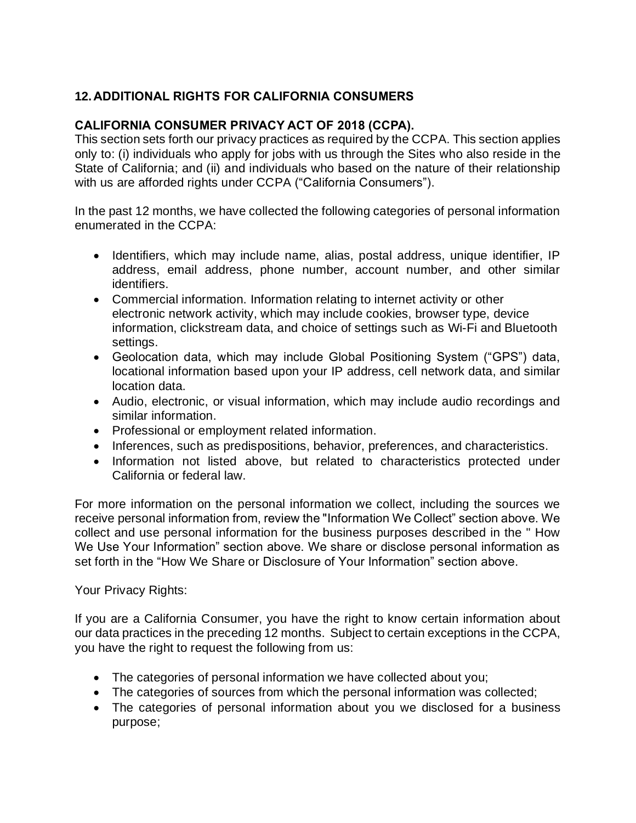# **12. ADDITIONAL RIGHTS FOR CALIFORNIA CONSUMERS**

### **CALIFORNIA CONSUMER PRIVACY ACT OF 2018 (CCPA).**

This section sets forth our privacy practices as required by the CCPA. This section applies only to: (i) individuals who apply for jobs with us through the Sites who also reside in the State of California; and (ii) and individuals who based on the nature of their relationship with us are afforded rights under CCPA ("California Consumers").

In the past 12 months, we have collected the following categories of personal information enumerated in the CCPA:

- Identifiers, which may include name, alias, postal address, unique identifier, IP address, email address, phone number, account number, and other similar identifiers.
- Commercial information. Information relating to internet activity or other electronic network activity, which may include cookies, browser type, device information, clickstream data, and choice of settings such as Wi-Fi and Bluetooth settings.
- Geolocation data, which may include Global Positioning System ("GPS") data, locational information based upon your IP address, cell network data, and similar location data.
- Audio, electronic, or visual information, which may include audio recordings and similar information.
- Professional or employment related information.
- Inferences, such as predispositions, behavior, preferences, and characteristics.
- Information not listed above, but related to characteristics protected under California or federal law.

For more information on the personal information we collect, including the sources we receive personal information from, review the "Information We Collect" section above. We collect and use personal information for the business purposes described in the " How We Use Your Information" section above. We share or disclose personal information as set forth in the "How We Share or Disclosure of Your Information" section above.

Your Privacy Rights:

If you are a California Consumer, you have the right to know certain information about our data practices in the preceding 12 months. Subject to certain exceptions in the CCPA, you have the right to request the following from us:

- The categories of personal information we have collected about you;
- The categories of sources from which the personal information was collected;
- The categories of personal information about you we disclosed for a business purpose;